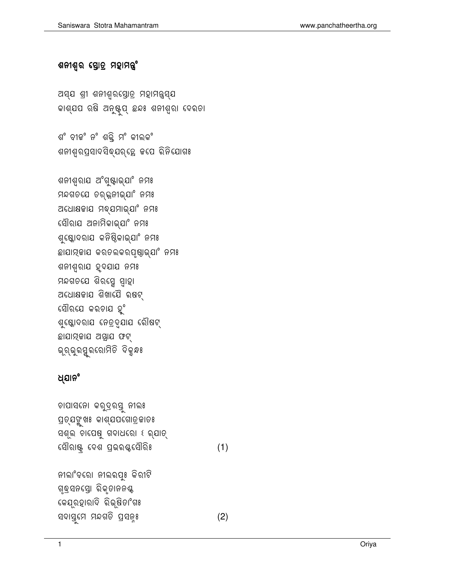ନୀଲାଂବରୋ ନୀଲରପୁଃ କିରୀଟି ଗୃଦ୍ରସନସ୍ତୋ ରିକୃତାନନଣ୍ଟ କେଯ୍ରହାରାଦି ରିଭ୍ଷିତାଂଗଃ ସଦାସୁମେ ମନ୍ଦଗତି ପ୍ରସନ୍ଃ

 $(2)$ 

ଚାପାସନୋ କରୁଦ୍ରରସୁ ନୀଲଃ ପ୍ରତ୍ଯଙ୍କୁଖଃ କାଶ୍ଯପଗୋତ୍ରଜାତଃ ସଶୂଲ ଚାପେଷୁ ଗଦାଧରୋ ଽ ର୍ଯାତ୍ ସୌରାଷ୍ଟ୍ ଦେଶ ପ୍ରଭର୍ଷ୍ଟସୌରିଃ  $(1)$ 

### ଧ୍ଯାନଂ

ଶନୀଶୃରାଯ ଅଂଗୁଷ୍ଟାଭ୍ଯାଂ ନମଃ ମନ୍ଦଗତଯେ ତର୍ଜ୍ୱନୀଭ୍ଯାଂ ନମଃ ଅଧୋକ୍ଷଜାଯ ମବ୍ଯମାଭ୍ଯାଂ ନମଃ ସୌରାଯ ଅନାମିକାଭ୍ଯାଂ ନମଃ ଶୁ୍ଣୋଦରାଯ କନିଷ୍ଠିକାଭ୍ଯାଂ ନମଃ ଛାଯାମ୍ବାଯ କର୍ତଲକରପୃଷ୍ଠାଭ୍ଯା<sup>ଂ</sup> ନମଃ ଶନୀଶ୍ୱରାଯ ହୃଦଯାଯ ନମଃ ମନ୍ଦଗତଯେ ଶିରସ୍ମେ ସ୍ୱାହା ଅଧୋଷଜାଯ ଶିଖାଯୈ ରଷଟ୍ ସୌରଯେ କରଚାଯ ହୁଂ ଶୁ୍ଣୋଦରାଯ ନେତ୍ରଦ୍ଯାଯ ରୌଷଟ୍ ଛାଯାମ୍ଭାଯ ଅସ୍ତ୍ରାଯ ଫଟ୍ ଭୂର୍ଭୁରସୁରରୋମିତି ଦିକୁନ୍ଧଃ

ଶଂ ବୀଜଂ ନଂ ଶକ୍ତି ମଂ କୀଲକଂ ଶନୀଶୃର୍ପ୍ରସାଦସିବ୍ଯର୍ତ୍ତେ ଜପେ ରିନିଯୋଗଃ

ଅସ୍ଯ ଶ୍ରୀ ଶନୀଶ୍ୱରସ୍ତୋତ୍ର ମହାମନ୍ତ୍ରସ୍ଯ କାଶ୍ଯପ ଋଷି ଅନୁଷ୍ଟପ୍ ଛନ୍ଧ ଶନୀଶ୍ରା ଦେରତା

#### ଶନୀଶ୍**ର ସ୍ତୋତ୍ର ମହାମ**ନ୍ତ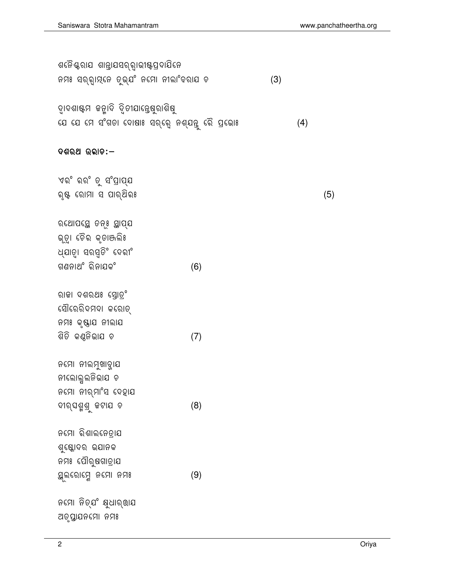| ଧ୍ଯାତା ସରସ୍ତିଂ ଦେରୀଂ           |     |
|--------------------------------|-----|
| ଗଣନାଥଂ ରିନାଯକଂ                 | (6) |
|                                |     |
| ରାଜା ଦଶରଥଃ ସ୍ତୋତ୍ର <sup></sup> |     |
| ସୌରେରିଦମଦା କରୋତ୍               |     |
| ନମଃ କୃଷ୍ଟାଯ ନୀଲାଯ              |     |
| ଶିତି କଣ୍ଳିଭାଯ ଚ                | (7) |
|                                |     |
| ନମୋ ନୀଲମୁଖାନ୍ଯାଯ               |     |
| ନୀଲୋଲୁଲନିଭାଯ ଚ                 |     |
| ନମୋ ନୀର୍ମାଂସ ଦେହାଯ             |     |
| ଦୀର୍ଘଶୁଶୁ ଜଟାଯ ଚ               | (8) |
|                                |     |
| ନମୋ ରିଶାଲ <b>ନେତ୍ରା</b> ଯ      |     |
| ଶୁ୍ଣୋଦର ଭଯାନକ                  |     |
| ନମଃ ପୌରୁଷଗାତ୍ରାଯ               |     |
| ୟୁଲ୍ରୋମ୍ମେ ନମୋ ନମଃ             | (9) |
|                                |     |
|                                |     |
| ଅତୃପ୍ତାଯନମୋ ନମଃ                |     |

## ଏରଂ ରରଂ ତୁ ସଂପ୍ରାପ୍ଯ ରୃଷ୍ଟ ରୋମା ସ ପାର୍ଥିରଃ

ରଥୋପସ୍ଥେ ଚନ୍ଃ ସ୍ଥାପ୍ଯ ଭ୍ତୁା ଚୈର କୃତାଞ୍ଜଲିଃ

### ଦଶରଥ ଭରାଚ:–

ଦ୍ୱାଦଶାଷ୍ଟମ ଜନ୍ମାଦି ଦ୍ୱିଚୀଯାନ୍ତେଷୁରାଶିଷୁ ଯେ ଯେ ମେ ସଂଗତା ଦୋଷାଃ ସର୍ଭ୍ୱେ ନଶ୍ଯନ୍ତୁ ରୈ ପ୍ରଭୋଃ  $(4)$ 

ଶନୈଷ୍ଟରାଯ ଶାନ୍ତାଯସର୍ର୍ୱାଭୀଷ୍ଟପ୍ରଦାଯିନେ ନମଃ ସର୍ର୍ା**ମ୍**ନେ ତୁଭ୍ଯଂ ନମୋ ନୀଲାଂବରାଯ ଚ  $(3)$ 

 $(5)$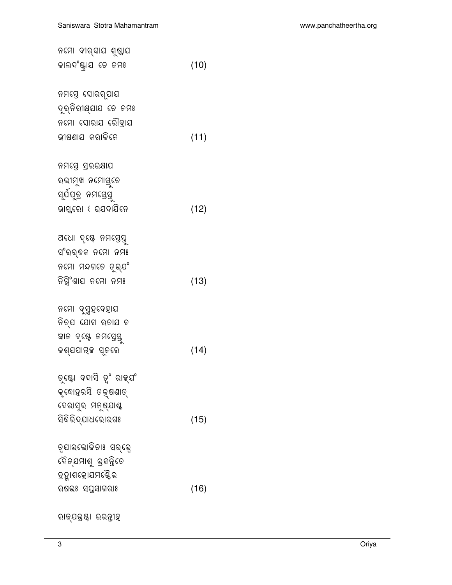ରାଜ୍ଯଭ୍<mark>ଷ</mark>ା ଭରନ୍ତୀହ

| ନମସ୍ତେ ଘୋରରୃପାଯ                |      |
|--------------------------------|------|
| ଦୁର୍ନିରୀୟ୍ଯାଯ ତେ ନମଃ           |      |
| ନମୋ ଘୋରାଯ ରୌଦ୍ରାଯ              |      |
| ଭୀଷଣାଯ କରାଳିନେ                 | (11) |
|                                |      |
| ନମସ୍ତେ ସ୍ରଭକ୍ଷାଯ               |      |
| ରଲୀମୁଖ ନମୋସୁ୍ତେ                |      |
| ସ୍ଯିପୁତ୍ର ନମସ୍ତେସ୍ତୁ           |      |
|                                | (12) |
|                                |      |
| ଅଧୋ ଦୃଷ୍ଟେ ନମସ୍ତେସୁ            |      |
| ସଂରର୍ବକ ନମୋ ନମଃ                |      |
| ନମୋ ମନ୍ଦଗତେ ତୁଭ୍ଯଂ             |      |
| ନିସ୍ତିଂଶାଯ ନମୋ ନମଃ             | (13) |
|                                |      |
| ନମୋ ଦୁସ୍ମହଦେହାଯ                |      |
| ନିତ୍ଯ ଯୋଗ ରତାଯ ଚ               |      |
| ଜ୍ଞାନ ଦୃଷ୍ଟେ ନମସ୍ତେସ୍ତୁ        |      |
| କଶ୍ଯପାମ୍ଜ ସୂନରେ                | (14) |
|                                |      |
| ତୁ୍ୟୋ ଦଦାସି ତୃଂ ରାଜ୍ଯଂ         |      |
| କୃଦୋହରସି ତକ୍ଷଣାତ୍              |      |
| ଦେରାସୁର ମନୁଷ୍ଯାଶ୍ଚ             |      |
| <mark>ସି</mark> ଦିରିଦ୍ଯାଧରୋରଗଃ | (15) |
|                                |      |
| ତ୍ଯାରଲୋକିତାଃ ସର୍ରେ             |      |
| ଦୈନ୍ଯମାଶୁ ବ୍ରଜନ୍ତିତେ           |      |
| ବ୍ରହ୍ମାଶକ୍ରୋଯମଣ୍ଟୈର            |      |
| ଋଷଭଃ ସପୁସାଗରାଃ                 | (16) |
|                                |      |

 (10)

ନମୋ ଦୀର୍ଘାଯ ଶୁଷ୍କାଯ

କାଲଦଂଷ୍ଟ୍ରାଯ ତେ ନ